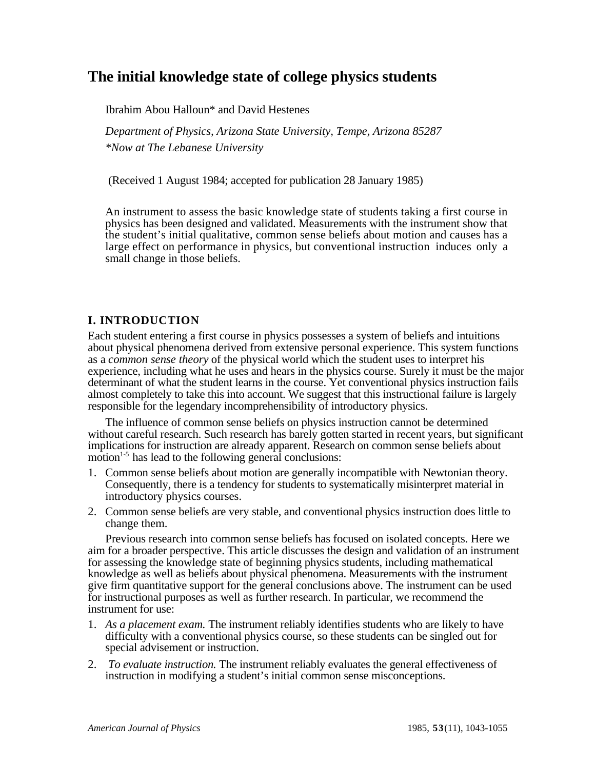# **The initial knowledge state of college physics students**

Ibrahim Abou Halloun\* and David Hestenes

*Department of Physics, Arizona State University, Tempe, Arizona 85287 \*Now at The Lebanese University*

(Received 1 August 1984; accepted for publication 28 January 1985)

An instrument to assess the basic knowledge state of students taking a first course in physics has been designed and validated. Measurements with the instrument show that the student's initial qualitative, common sense beliefs about motion and causes has a large effect on performance in physics, but conventional instruction induces only a small change in those beliefs.

# **I. INTRODUCTION**

Each student entering a first course in physics possesses a system of beliefs and intuitions about physical phenomena derived from extensive personal experience. This system functions as a *common sense theory* of the physical world which the student uses to interpret his experience, including what he uses and hears in the physics course. Surely it must be the major determinant of what the student learns in the course. Yet conventional physics instruction fails almost completely to take this into account. We suggest that this instructional failure is largely responsible for the legendary incomprehensibility of introductory physics.

The influence of common sense beliefs on physics instruction cannot be determined without careful research. Such research has barely gotten started in recent years, but significant implications for instruction are already apparent. Research on common sense beliefs about motion $1-5$  has lead to the following general conclusions:

- 1. Common sense beliefs about motion are generally incompatible with Newtonian theory. Consequently, there is a tendency for students to systematically misinterpret material in introductory physics courses.
- 2. Common sense beliefs are very stable, and conventional physics instruction does little to change them.

Previous research into common sense beliefs has focused on isolated concepts. Here we aim for a broader perspective. This article discusses the design and validation of an instrument for assessing the knowledge state of beginning physics students, including mathematical knowledge as well as beliefs about physical phenomena. Measurements with the instrument give firm quantitative support for the general conclusions above. The instrument can be used for instructional purposes as well as further research. In particular, we recommend the instrument for use:

- 1. *As a placement exam.* The instrument reliably identifies students who are likely to have difficulty with a conventional physics course, so these students can be singled out for special advisement or instruction.
- 2. *To evaluate instruction.* The instrument reliably evaluates the general effectiveness of instruction in modifying a student's initial common sense misconceptions.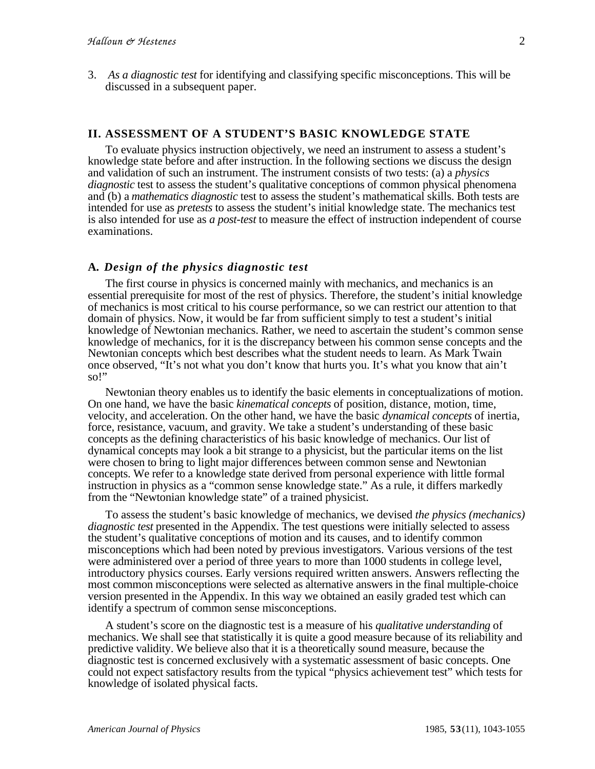3. *As a diagnostic test* for identifying and classifying specific misconceptions. This will be discussed in a subsequent paper.

#### **II. ASSESSMENT OF A STUDENT'S BASIC KNOWLEDGE STATE**

To evaluate physics instruction objectively, we need an instrument to assess a student's knowledge state before and after instruction. In the following sections we discuss the design and validation of such an instrument. The instrument consists of two tests: (a) a *physics diagnostic* test to assess the student's qualitative conceptions of common physical phenomena and (b) a *mathematics diagnostic* test to assess the student's mathematical skills. Both tests are intended for use as *pretests* to assess the student's initial knowledge state. The mechanics test is also intended for use as *a post-test* to measure the effect of instruction independent of course examinations.

### **A***. Design of the physics diagnostic test*

The first course in physics is concerned mainly with mechanics, and mechanics is an essential prerequisite for most of the rest of physics. Therefore, the student's initial knowledge of mechanics is most critical to his course performance, so we can restrict our attention to that domain of physics. Now, it would be far from sufficient simply to test a student's initial knowledge of Newtonian mechanics. Rather, we need to ascertain the student's common sense knowledge of mechanics, for it is the discrepancy between his common sense concepts and the Newtonian concepts which best describes what the student needs to learn. As Mark Twain once observed, "It's not what you don't know that hurts you. It's what you know that ain't so!"

Newtonian theory enables us to identify the basic elements in conceptualizations of motion. On one hand, we have the basic *kinematical concepts* of position, distance, motion, time, velocity, and acceleration. On the other hand, we have the basic *dynamical concepts* of inertia, force, resistance, vacuum, and gravity. We take a student's understanding of these basic concepts as the defining characteristics of his basic knowledge of mechanics. Our list of dynamical concepts may look a bit strange to a physicist, but the particular items on the list were chosen to bring to light major differences between common sense and Newtonian concepts. We refer to a knowledge state derived from personal experience with little formal instruction in physics as a "common sense knowledge state." As a rule, it differs markedly from the "Newtonian knowledge state" of a trained physicist.

To assess the student's basic knowledge of mechanics, we devised *the physics (mechanics) diagnostic test* presented in the Appendix. The test questions were initially selected to assess the student's qualitative conceptions of motion and its causes, and to identify common misconceptions which had been noted by previous investigators. Various versions of the test were administered over a period of three years to more than 1000 students in college level, introductory physics courses. Early versions required written answers. Answers reflecting the most common misconceptions were selected as alternative answers in the final multiple-choice version presented in the Appendix. In this way we obtained an easily graded test which can identify a spectrum of common sense misconceptions.

A student's score on the diagnostic test is a measure of his *qualitative understanding* of mechanics. We shall see that statistically it is quite a good measure because of its reliability and predictive validity. We believe also that it is a theoretically sound measure, because the diagnostic test is concerned exclusively with a systematic assessment of basic concepts. One could not expect satisfactory results from the typical "physics achievement test" which tests for knowledge of isolated physical facts.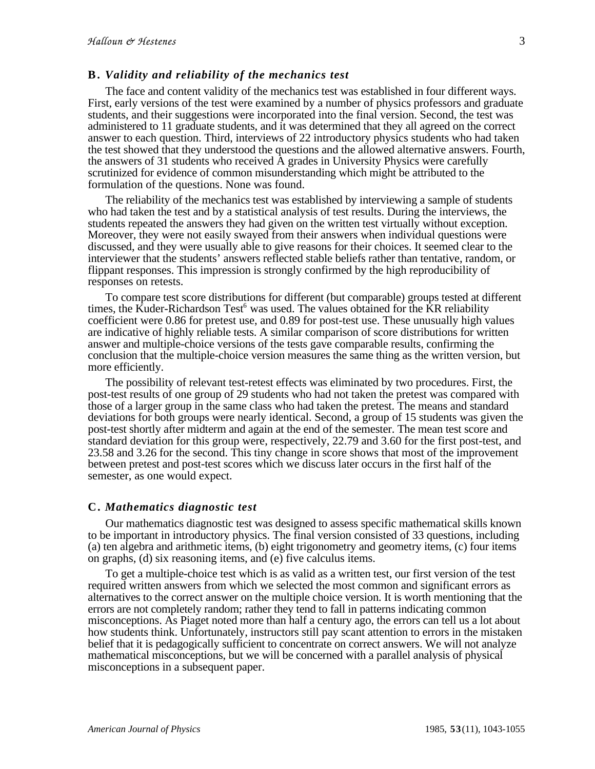#### **B.** *Validity and reliability of the mechanics test*

The face and content validity of the mechanics test was established in four different ways. First, early versions of the test were examined by a number of physics professors and graduate students, and their suggestions were incorporated into the final version. Second, the test was administered to 11 graduate students, and it was determined that they all agreed on the correct answer to each question. Third, interviews of 22 introductory physics students who had taken the test showed that they understood the questions and the allowed alternative answers. Fourth, the answers of 31 students who received A grades in University Physics were carefully scrutinized for evidence of common misunderstanding which might be attributed to the formulation of the questions. None was found.

The reliability of the mechanics test was established by interviewing a sample of students who had taken the test and by a statistical analysis of test results. During the interviews, the students repeated the answers they had given on the written test virtually without exception. Moreover, they were not easily swayed from their answers when individual questions were discussed, and they were usually able to give reasons for their choices. It seemed clear to the interviewer that the students' answers reflected stable beliefs rather than tentative, random, or flippant responses. This impression is strongly confirmed by the high reproducibility of responses on retests.

To compare test score distributions for different (but comparable) groups tested at different times, the Kuder-Richardson Test<sup>6</sup> was used. The values obtained for the KR reliability coefficient were 0.86 for pretest use, and 0.89 for post-test use. These unusually high values are indicative of highly reliable tests. A similar comparison of score distributions for written answer and multiple-choice versions of the tests gave comparable results, confirming the conclusion that the multiple-choice version measures the same thing as the written version, but more efficiently.

The possibility of relevant test-retest effects was eliminated by two procedures. First, the post-test results of one group of 29 students who had not taken the pretest was compared with those of a larger group in the same class who had taken the pretest. The means and standard deviations for both groups were nearly identical. Second, a group of 15 students was given the post-test shortly after midterm and again at the end of the semester. The mean test score and standard deviation for this group were, respectively, 22.79 and 3.60 for the first post-test, and 23.58 and 3.26 for the second. This tiny change in score shows that most of the improvement between pretest and post-test scores which we discuss later occurs in the first half of the semester, as one would expect.

#### **C.** *Mathematics diagnostic test*

Our mathematics diagnostic test was designed to assess specific mathematical skills known to be important in introductory physics. The final version consisted of 33 questions, including (a) ten algebra and arithmetic items, (b) eight trigonometry and geometry items, (c) four items on graphs, (d) six reasoning items, and (e) five calculus items.

To get a multiple-choice test which is as valid as a written test, our first version of the test required written answers from which we selected the most common and significant errors as alternatives to the correct answer on the multiple choice version. It is worth mentioning that the errors are not completely random; rather they tend to fall in patterns indicating common misconceptions. As Piaget noted more than half a century ago, the errors can tell us a lot about how students think. Unfortunately, instructors still pay scant attention to errors in the mistaken belief that it is pedagogically sufficient to concentrate on correct answers. We will not analyze mathematical misconceptions, but we will be concerned with a parallel analysis of physical misconceptions in a subsequent paper.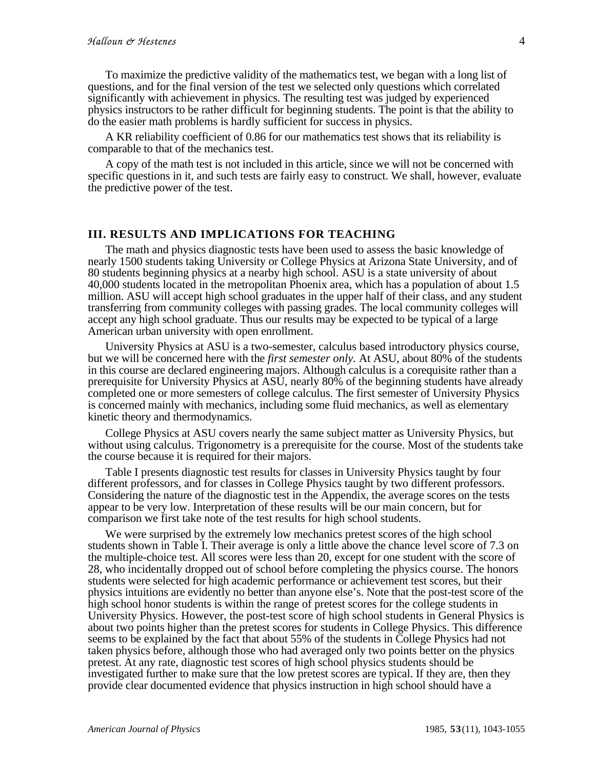To maximize the predictive validity of the mathematics test, we began with a long list of questions, and for the final version of the test we selected only questions which correlated significantly with achievement in physics. The resulting test was judged by experienced physics instructors to be rather difficult for beginning students. The point is that the ability to do the easier math problems is hardly sufficient for success in physics.

A KR reliability coefficient of 0.86 for our mathematics test shows that its reliability is comparable to that of the mechanics test.

A copy of the math test is not included in this article, since we will not be concerned with specific questions in it, and such tests are fairly easy to construct. We shall, however, evaluate the predictive power of the test.

#### **III. RESULTS AND IMPLICATIONS FOR TEACHING**

The math and physics diagnostic tests have been used to assess the basic knowledge of nearly 1500 students taking University or College Physics at Arizona State University, and of 80 students beginning physics at a nearby high school. ASU is a state university of about 40,000 students located in the metropolitan Phoenix area, which has a population of about 1.5 million. ASU will accept high school graduates in the upper half of their class, and any student transferring from community colleges with passing grades. The local community colleges will accept any high school graduate. Thus our results may be expected to be typical of a large American urban university with open enrollment.

University Physics at ASU is a two-semester, calculus based introductory physics course, but we will be concerned here with the *first semester only.* At ASU, about 80% of the students in this course are declared engineering majors. Although calculus is a corequisite rather than a prerequisite for University Physics at ASU, nearly 80% of the beginning students have already completed one or more semesters of college calculus. The first semester of University Physics is concerned mainly with mechanics, including some fluid mechanics, as well as elementary kinetic theory and thermodynamics.

College Physics at ASU covers nearly the same subject matter as University Physics, but without using calculus. Trigonometry is a prerequisite for the course. Most of the students take the course because it is required for their majors.

Table I presents diagnostic test results for classes in University Physics taught by four different professors, and for classes in College Physics taught by two different professors. Considering the nature of the diagnostic test in the Appendix, the average scores on the tests appear to be very low. Interpretation of these results will be our main concern, but for comparison we first take note of the test results for high school students.

We were surprised by the extremely low mechanics pretest scores of the high school students shown in Table I. Their average is only a little above the chance level score of 7.3 on the multiple-choice test. All scores were less than 20, except for one student with the score of 28, who incidentally dropped out of school before completing the physics course. The honors students were selected for high academic performance or achievement test scores, but their physics intuitions are evidently no better than anyone else's. Note that the post-test score of the high school honor students is within the range of pretest scores for the college students in University Physics. However, the post-test score of high school students in General Physics is about two points higher than the pretest scores for students in College Physics. This difference seems to be explained by the fact that about 55% of the students in College Physics had not taken physics before, although those who had averaged only two points better on the physics pretest. At any rate, diagnostic test scores of high school physics students should be investigated further to make sure that the low pretest scores are typical. If they are, then they provide clear documented evidence that physics instruction in high school should have a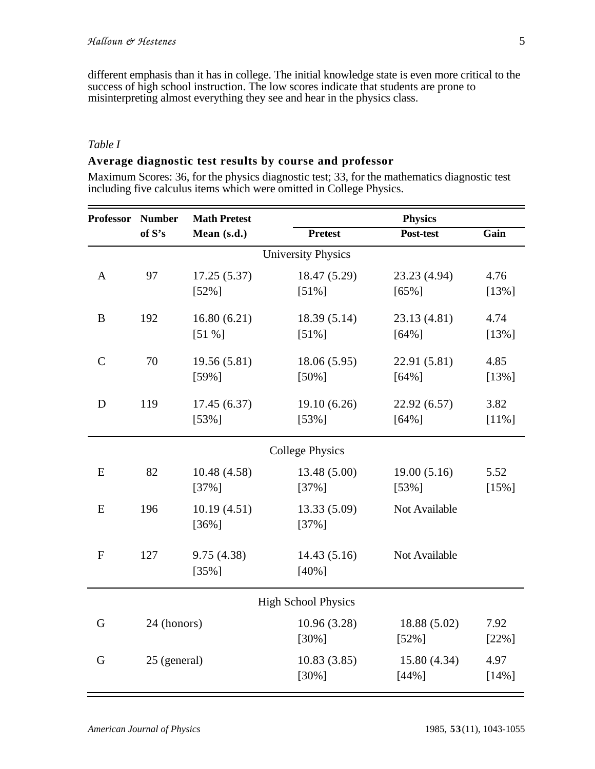different emphasis than it has in college. The initial knowledge state is even more critical to the success of high school instruction. The low scores indicate that students are prone to misinterpreting almost everything they see and hear in the physics class.

## *Table I*

### **Average diagnostic test results by course and professor**

Maximum Scores: 36, for the physics diagnostic test; 33, for the mathematics diagnostic test including five calculus items which were omitted in College Physics.

| <b>Professor</b>           | <b>Number</b> | <b>Math Pretest</b> |                | <b>Physics</b> |          |  |
|----------------------------|---------------|---------------------|----------------|----------------|----------|--|
|                            | of S's        | Mean (s.d.)         | <b>Pretest</b> | Post-test      | Gain     |  |
| <b>University Physics</b>  |               |                     |                |                |          |  |
| $\mathbf{A}$               | 97            | 17.25(5.37)         | 18.47 (5.29)   | 23.23 (4.94)   | 4.76     |  |
|                            |               | $[52\%]$            | $[51\%]$       | $[65\%]$       | $[13\%]$ |  |
| $\bf{B}$                   | 192           | 16.80(6.21)         | 18.39 (5.14)   | 23.13 (4.81)   | 4.74     |  |
|                            |               | [51%]               | $[51\%]$       | $[64\%]$       | $[13\%]$ |  |
| $\mathsf{C}$               | 70            | 19.56(5.81)         | 18.06(5.95)    | 22.91 (5.81)   | 4.85     |  |
|                            |               | [59%]               | $[50\%]$       | [64%]          | $[13\%]$ |  |
| D                          | 119           | 17.45(6.37)         | 19.10(6.26)    | 22.92(6.57)    | 3.82     |  |
|                            |               | $[53\%]$            | $[53\%]$       | $[64\%]$       | $[11\%]$ |  |
| <b>College Physics</b>     |               |                     |                |                |          |  |
| E                          | 82            | 10.48 (4.58)        | 13.48 (5.00)   | 19.00(5.16)    | 5.52     |  |
|                            |               | $[37\%]$            | $[37\%]$       | $[53\%]$       | $[15\%]$ |  |
| ${\bf E}$                  | 196           | 10.19(4.51)         | 13.33 (5.09)   | Not Available  |          |  |
|                            |               | $[36\%]$            | $[37\%]$       |                |          |  |
| $\mathbf{F}$               | 127           | 9.75(4.38)          | 14.43(5.16)    | Not Available  |          |  |
|                            |               | $[35\%]$            | $[40\%]$       |                |          |  |
| <b>High School Physics</b> |               |                     |                |                |          |  |
| 24 (honors)<br>G           |               |                     | 10.96(3.28)    | 18.88 (5.02)   | 7.92     |  |
|                            |               |                     | $[30\%]$       | $[52\%]$       | $[22\%]$ |  |
| G                          | 25 (general)  |                     | 10.83(3.85)    | 15.80(4.34)    | 4.97     |  |
|                            |               |                     | $[30\%]$       | [44%]          | $[14\%]$ |  |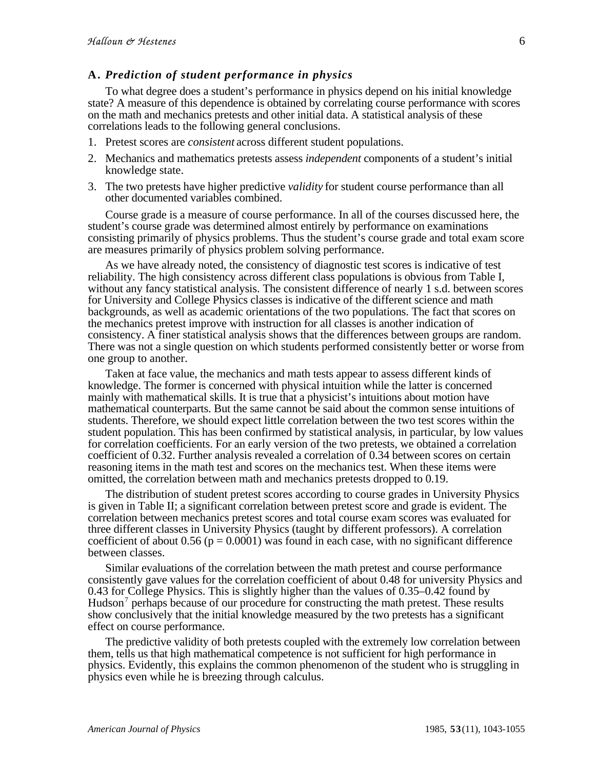### **A.** *Prediction of student performance in physics*

To what degree does a student's performance in physics depend on his initial knowledge state? A measure of this dependence is obtained by correlating course performance with scores on the math and mechanics pretests and other initial data. A statistical analysis of these correlations leads to the following general conclusions.

- 1. Pretest scores are *consistent* across different student populations.
- 2. Mechanics and mathematics pretests assess *independent* components of a student's initial knowledge state.
- 3. The two pretests have higher predictive *validity* for student course performance than all other documented variables combined.

Course grade is a measure of course performance. In all of the courses discussed here, the student's course grade was determined almost entirely by performance on examinations consisting primarily of physics problems. Thus the student's course grade and total exam score are measures primarily of physics problem solving performance.

As we have already noted, the consistency of diagnostic test scores is indicative of test reliability. The high consistency across different class populations is obvious from Table I, without any fancy statistical analysis. The consistent difference of nearly 1 s.d. between scores for University and College Physics classes is indicative of the different science and math backgrounds, as well as academic orientations of the two populations. The fact that scores on the mechanics pretest improve with instruction for all classes is another indication of consistency. A finer statistical analysis shows that the differences between groups are random. There was not a single question on which students performed consistently better or worse from one group to another.

Taken at face value, the mechanics and math tests appear to assess different kinds of knowledge. The former is concerned with physical intuition while the latter is concerned mainly with mathematical skills. It is true that a physicist's intuitions about motion have mathematical counterparts. But the same cannot be said about the common sense intuitions of students. Therefore, we should expect little correlation between the two test scores within the student population. This has been confirmed by statistical analysis, in particular, by low values for correlation coefficients. For an early version of the two pretests, we obtained a correlation coefficient of 0.32. Further analysis revealed a correlation of 0.34 between scores on certain reasoning items in the math test and scores on the mechanics test. When these items were omitted, the correlation between math and mechanics pretests dropped to 0.19.

The distribution of student pretest scores according to course grades in University Physics is given in Table II; a significant correlation between pretest score and grade is evident. The correlation between mechanics pretest scores and total course exam scores was evaluated for three different classes in University Physics (taught by different professors). A correlation coefficient of about 0.56 ( $p = 0.0001$ ) was found in each case, with no significant difference between classes.

Similar evaluations of the correlation between the math pretest and course performance consistently gave values for the correlation coefficient of about 0.48 for university Physics and 0.43 for College Physics. This is slightly higher than the values of 0.35–0.42 found by Hudson<sup>7</sup> perhaps because of our procedure for constructing the math pretest. These results show conclusively that the initial knowledge measured by the two pretests has a significant effect on course performance.

The predictive validity of both pretests coupled with the extremely low correlation between them, tells us that high mathematical competence is not sufficient for high performance in physics. Evidently, this explains the common phenomenon of the student who is struggling in physics even while he is breezing through calculus.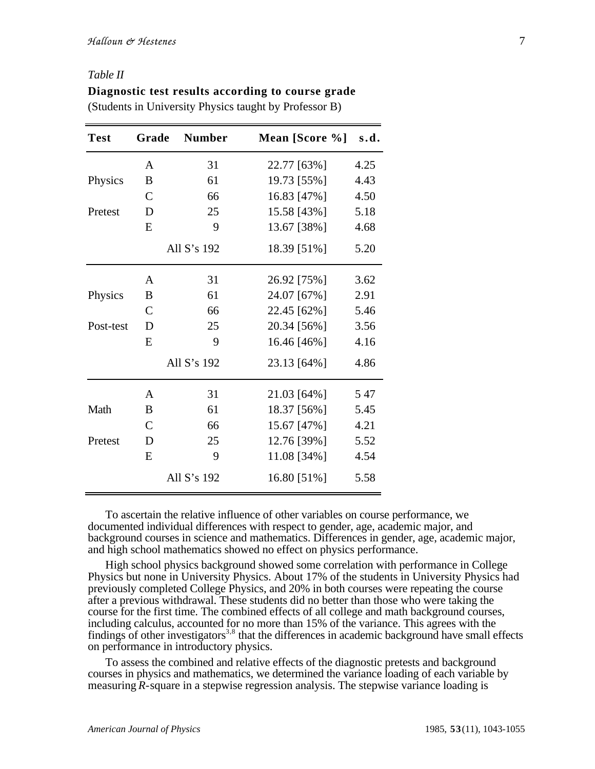#### *Table II*

| Diagnostic test results according to course grade      |  |
|--------------------------------------------------------|--|
| (Students in University Physics taught by Professor B) |  |

| <b>Test</b> | Grade          | <b>Number</b>  | Mean [Score %] s.d. |      |
|-------------|----------------|----------------|---------------------|------|
|             | A              | 31             | 22.77 [63%]         | 4.25 |
| Physics     | B              | 61             | 19.73 [55%]         | 4.43 |
|             | $\mathcal{C}$  | 66             | 16.83 [47%]         | 4.50 |
| Pretest     | D              | 25             | 15.58 [43%]         | 5.18 |
|             | E              | 9              | 13.67 [38%]         | 4.68 |
|             | All $S$ 's 192 |                | 18.39 [51%]         | 5.20 |
|             | $\mathbf{A}$   | 31             | 26.92 [75%]         | 3.62 |
| Physics     | B              | 61             | 24.07 [67%]         | 2.91 |
|             | $\mathcal{C}$  | 66             | 22.45 [62%]         | 5.46 |
| Post-test   | D              | 25             | 20.34 [56%]         | 3.56 |
|             | E              | 9              | 16.46 [46%]         | 4.16 |
|             |                | All $S$ 's 192 | 23.13 [64%]         | 4.86 |
|             | A              | 31             | 21.03 [64%]         | 547  |
| Math        | B              | 61             | 18.37 [56%]         | 5.45 |
|             | $\mathcal{C}$  | 66             | 15.67 [47%]         | 4.21 |
| Pretest     | D              | 25             | 12.76 [39%]         | 5.52 |
|             | E              | 9              | 11.08 [34%]         | 4.54 |
|             |                | All S's 192    | 16.80 [51%]         | 5.58 |

To ascertain the relative influence of other variables on course performance, we documented individual differences with respect to gender, age, academic major, and background courses in science and mathematics. Differences in gender, age, academic major, and high school mathematics showed no effect on physics performance.

High school physics background showed some correlation with performance in College Physics but none in University Physics. About 17% of the students in University Physics had previously completed College Physics, and 20% in both courses were repeating the course after a previous withdrawal. These students did no better than those who were taking the course for the first time. The combined effects of all college and math background courses, including calculus, accounted for no more than 15% of the variance. This agrees with the findings of other investigators<sup>3,8</sup> that the differences in academic background have small effects on performance in introductory physics.

To assess the combined and relative effects of the diagnostic pretests and background courses in physics and mathematics, we determined the variance loading of each variable by measuring *R-*square in a stepwise regression analysis. The stepwise variance loading is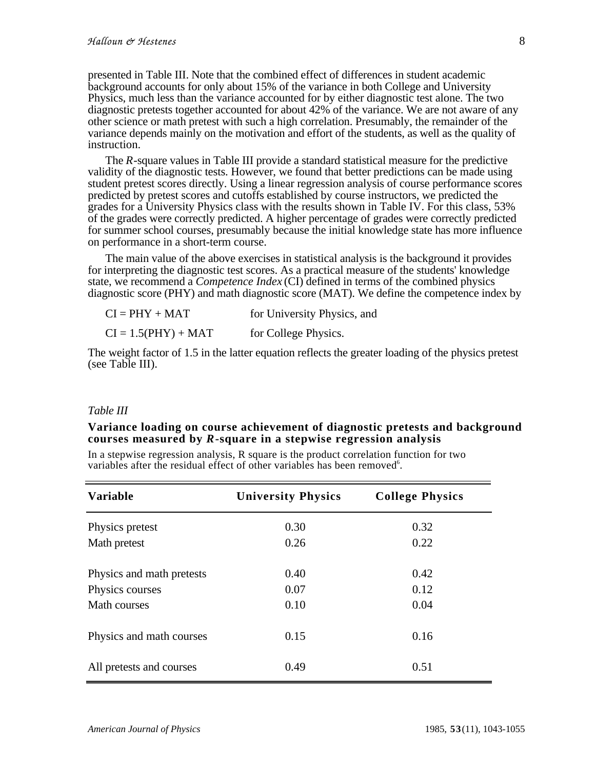presented in Table III. Note that the combined effect of differences in student academic background accounts for only about 15% of the variance in both College and University Physics, much less than the variance accounted for by either diagnostic test alone. The two diagnostic pretests together accounted for about 42% of the variance. We are not aware of any other science or math pretest with such a high correlation. Presumably, the remainder of the variance depends mainly on the motivation and effort of the students, as well as the quality of instruction.

The *R*-square values in Table III provide a standard statistical measure for the predictive validity of the diagnostic tests. However, we found that better predictions can be made using student pretest scores directly. Using a linear regression analysis of course performance scores predicted by pretest scores and cutoffs established by course instructors, we predicted the grades for a University Physics class with the results shown in Table IV. For this class, 53% of the grades were correctly predicted. A higher percentage of grades were correctly predicted for summer school courses, presumably because the initial knowledge state has more influence on performance in a short-term course.

The main value of the above exercises in statistical analysis is the background it provides for interpreting the diagnostic test scores. As a practical measure of the students' knowledge state, we recommend a *Competence Index* (CI) defined in terms of the combined physics diagnostic score (PHY) and math diagnostic score (MAT). We define the competence index by

 $CI = PHY + MAT$  for University Physics, and  $CI = 1.5(PHY) + MAT$  for College Physics.

The weight factor of 1.5 in the latter equation reflects the greater loading of the physics pretest (see Table III).

#### *Table III*

#### **Variance loading on course achievement of diagnostic pretests and background courses measured by** *R***-square in a stepwise regression analysis**

In a stepwise regression analysis, R square is the product correlation function for two variables after the residual effect of other variables has been removed<sup>6</sup>.

| <b>Variable</b>           | <b>University Physics</b> | <b>College Physics</b> |  |
|---------------------------|---------------------------|------------------------|--|
| Physics pretest           | 0.30                      | 0.32                   |  |
| Math pretest              | 0.26                      | 0.22                   |  |
| Physics and math pretests | 0.40                      | 0.42                   |  |
| Physics courses           | 0.07                      | 0.12                   |  |
| Math courses              | 0.10                      | 0.04                   |  |
| Physics and math courses  | 0.15                      | 0.16                   |  |
| All pretests and courses  | 0.49                      | 0.51                   |  |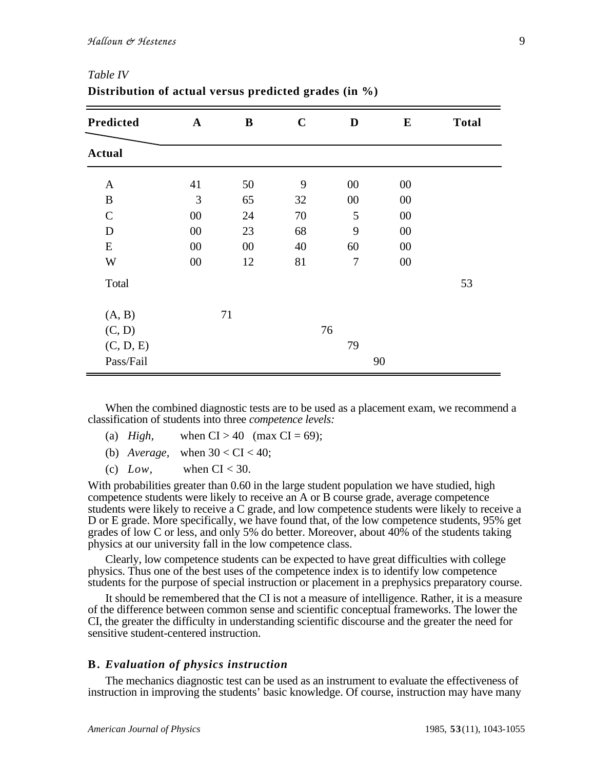| Predicted     | $\mathbf A$ | $\bf{B}$ | $\mathbf C$ | D              | $\bf{E}$ | <b>Total</b> |
|---------------|-------------|----------|-------------|----------------|----------|--------------|
| <b>Actual</b> |             |          |             |                |          |              |
| $\mathbf{A}$  | 41          | 50       | 9           | $00\,$         | $00\,$   |              |
| $\bf{B}$      | 3           | 65       | 32          | 00             | 00       |              |
| $\mathsf{C}$  | 00          | 24       | 70          | 5              | 00       |              |
| D             | $00\,$      | 23       | 68          | 9              | 00       |              |
| E             | $00\,$      | $00\,$   | 40          | 60             | 00       |              |
| W             | $00\,$      | 12       | 81          | $\overline{7}$ | $00\,$   |              |
| Total         |             |          |             |                |          | 53           |
| (A, B)        |             | 71       |             |                |          |              |
| (C, D)        |             |          |             | 76             |          |              |
| (C, D, E)     |             |          |             | 79             |          |              |
| Pass/Fail     |             |          |             |                | 90       |              |

# *Table IV* **Distribution of actual versus predicted grades (in %)**

When the combined diagnostic tests are to be used as a placement exam, we recommend a classification of students into three *competence levels:*

- (a)  $High$ , when  $CI > 40$  (max  $CI = 69$ );
- (b) *Average*, when  $30 < CI < 40$ ;
- (c)  $Low$ , when  $CI < 30$ .

With probabilities greater than 0.60 in the large student population we have studied, high competence students were likely to receive an A or B course grade, average competence students were likely to receive a C grade, and low competence students were likely to receive a D or E grade. More specifically, we have found that, of the low competence students, 95% get grades of low C or less, and only 5% do better. Moreover, about 40% of the students taking physics at our university fall in the low competence class.

Clearly, low competence students can be expected to have great difficulties with college physics. Thus one of the best uses of the competence index is to identify low competence students for the purpose of special instruction or placement in a prephysics preparatory course.

It should be remembered that the CI is not a measure of intelligence. Rather, it is a measure of the difference between common sense and scientific conceptual frameworks. The lower the CI, the greater the difficulty in understanding scientific discourse and the greater the need for sensitive student-centered instruction.

#### **B.** *Evaluation of physics instruction*

The mechanics diagnostic test can be used as an instrument to evaluate the effectiveness of instruction in improving the students' basic knowledge. Of course, instruction may have many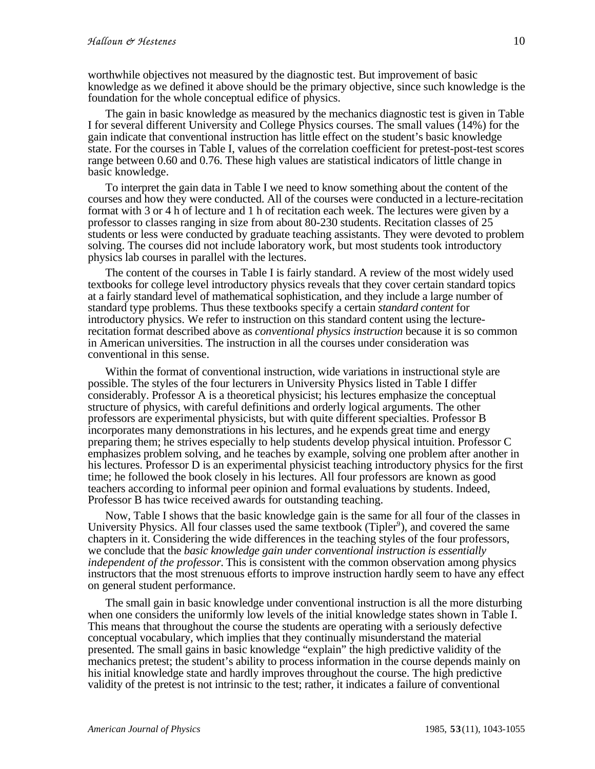worthwhile objectives not measured by the diagnostic test. But improvement of basic knowledge as we defined it above should be the primary objective, since such knowledge is the foundation for the whole conceptual edifice of physics.

The gain in basic knowledge as measured by the mechanics diagnostic test is given in Table I for several different University and College Physics courses. The small values (14%) for the gain indicate that conventional instruction has little effect on the student's basic knowledge state. For the courses in Table I, values of the correlation coefficient for pretest-post-test scores range between 0.60 and 0.76. These high values are statistical indicators of little change in basic knowledge.

To interpret the gain data in Table I we need to know something about the content of the courses and how they were conducted. All of the courses were conducted in a lecture-recitation format with 3 or 4 h of lecture and 1 h of recitation each week. The lectures were given by a professor to classes ranging in size from about 80-230 students. Recitation classes of 25 students or less were conducted by graduate teaching assistants. They were devoted to problem solving. The courses did not include laboratory work, but most students took introductory physics lab courses in parallel with the lectures.

The content of the courses in Table I is fairly standard. A review of the most widely used textbooks for college level introductory physics reveals that they cover certain standard topics at a fairly standard level of mathematical sophistication, and they include a large number of standard type problems. Thus these textbooks specify a certain *standard content* for introductory physics. We refer to instruction on this standard content using the lecturerecitation format described above as *conventional physics instruction* because it is so common in American universities. The instruction in all the courses under consideration was conventional in this sense.

Within the format of conventional instruction, wide variations in instructional style are possible. The styles of the four lecturers in University Physics listed in Table I differ considerably. Professor A is a theoretical physicist; his lectures emphasize the conceptual structure of physics, with careful definitions and orderly logical arguments. The other professors are experimental physicists, but with quite different specialties. Professor B incorporates many demonstrations in his lectures, and he expends great time and energy preparing them; he strives especially to help students develop physical intuition. Professor C emphasizes problem solving, and he teaches by example, solving one problem after another in his lectures. Professor D is an experimental physicist teaching introductory physics for the first time; he followed the book closely in his lectures. All four professors are known as good teachers according to informal peer opinion and formal evaluations by students. Indeed, Professor B has twice received awards for outstanding teaching.

Now, Table I shows that the basic knowledge gain is the same for all four of the classes in University Physics. All four classes used the same textbook (Tipler<sup>9</sup>), and covered the same chapters in it. Considering the wide differences in the teaching styles of the four professors, we conclude that the *basic knowledge gain under conventional instruction is essentially independent of the professor.* This is consistent with the common observation among physics instructors that the most strenuous efforts to improve instruction hardly seem to have any effect on general student performance.

The small gain in basic knowledge under conventional instruction is all the more disturbing when one considers the uniformly low levels of the initial knowledge states shown in Table I. This means that throughout the course the students are operating with a seriously defective conceptual vocabulary, which implies that they continually misunderstand the material presented. The small gains in basic knowledge "explain" the high predictive validity of the mechanics pretest; the student's ability to process information in the course depends mainly on his initial knowledge state and hardly improves throughout the course. The high predictive validity of the pretest is not intrinsic to the test; rather, it indicates a failure of conventional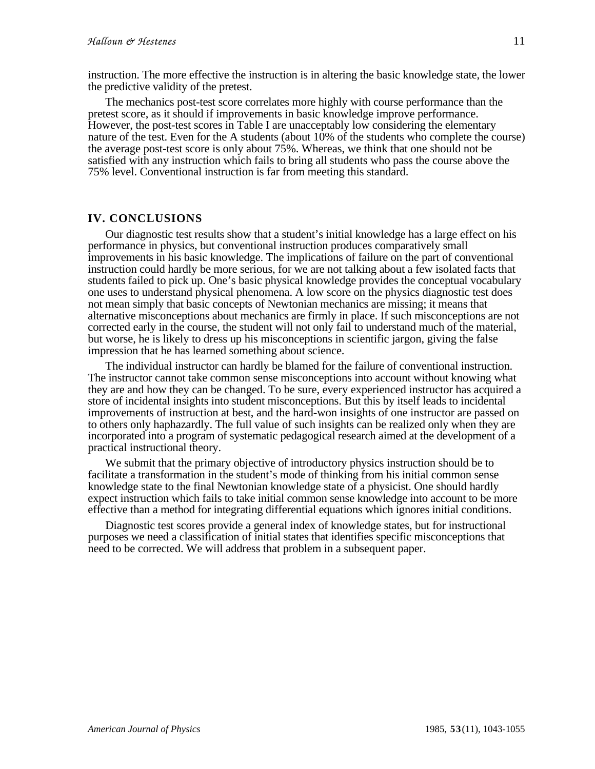instruction. The more effective the instruction is in altering the basic knowledge state, the lower the predictive validity of the pretest.

The mechanics post-test score correlates more highly with course performance than the pretest score, as it should if improvements in basic knowledge improve performance. However, the post-test scores in Table I are unacceptably low considering the elementary nature of the test. Even for the A students (about  $10\%$  of the students who complete the course) the average post-test score is only about 75%. Whereas, we think that one should not be satisfied with any instruction which fails to bring all students who pass the course above the 75% level. Conventional instruction is far from meeting this standard.

### **IV. CONCLUSIONS**

Our diagnostic test results show that a student's initial knowledge has a large effect on his performance in physics, but conventional instruction produces comparatively small improvements in his basic knowledge. The implications of failure on the part of conventional instruction could hardly be more serious, for we are not talking about a few isolated facts that students failed to pick up. One's basic physical knowledge provides the conceptual vocabulary one uses to understand physical phenomena. A low score on the physics diagnostic test does not mean simply that basic concepts of Newtonian mechanics are missing; it means that alternative misconceptions about mechanics are firmly in place. If such misconceptions are not corrected early in the course, the student will not only fail to understand much of the material, but worse, he is likely to dress up his misconceptions in scientific jargon, giving the false impression that he has learned something about science.

The individual instructor can hardly be blamed for the failure of conventional instruction. The instructor cannot take common sense misconceptions into account without knowing what they are and how they can be changed. To be sure, every experienced instructor has acquired a store of incidental insights into student misconceptions. But this by itself leads to incidental improvements of instruction at best, and the hard-won insights of one instructor are passed on to others only haphazardly. The full value of such insights can be realized only when they are incorporated into a program of systematic pedagogical research aimed at the development of a practical instructional theory.

We submit that the primary objective of introductory physics instruction should be to facilitate a transformation in the student's mode of thinking from his initial common sense knowledge state to the final Newtonian knowledge state of a physicist. One should hardly expect instruction which fails to take initial common sense knowledge into account to be more effective than a method for integrating differential equations which ignores initial conditions.

Diagnostic test scores provide a general index of knowledge states, but for instructional purposes we need a classification of initial states that identifies specific misconceptions that need to be corrected. We will address that problem in a subsequent paper.